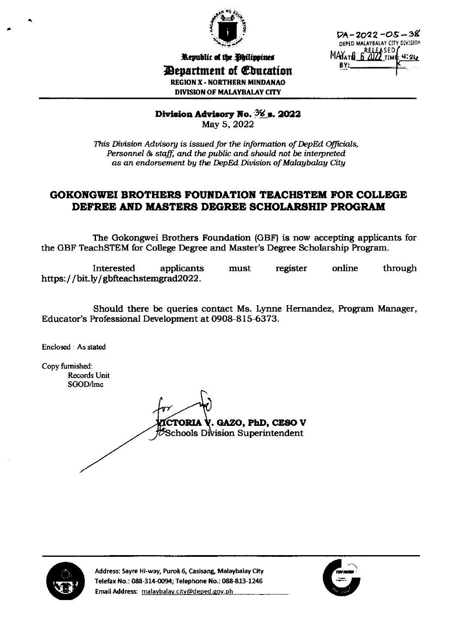

DA-2022-O5-38 DEPED MALAYBALAY CITY DIVISION ASED  $MAY_{A}$ BY:

Republic of the Ohilippines

*Department of Education* **REGION X - NORTHERN MINDANAO DIVISION OF MALAYBALAY CITY** 

Division Advisory No.  $36$  s. 2022

May 5, 2022

This Division Advisory is issued for the information of DepEd Officials, Personnel & staff, and the public and should not be interpreted as an endorsement by the DepEd Division of Malaybalay City

## **GOKONGWEI BROTHERS FOUNDATION TEACHSTEM FOR COLLEGE** DEFREE AND MASTERS DEGREE SCHOLARSHIP PROGRAM

The Gokongwei Brothers Foundation (GBF) is now accepting applicants for the GBF TeachSTEM for College Degree and Master's Degree Scholarship Program.

Interested applicants must register online through https://bit.ly/gbfteachstemgrad2022.

Should there be queries contact Ms. Lynne Hernandez, Program Manager, Educator's Professional Development at 0908-815-6373.

Enclosed : As stated

Copy furnished: **Records Unit** SGOD/lmc

**CTORIA V. GAZO, PhD, CESO V** Schools Division Superintendent



Address: Sayre Hi-way, Purok 6, Casisang, Malaybalay City Telefax No.: 088-314-0094; Telephone No.: 088-813-1246 Email Address: malaybalay.city@deped.gov.ph